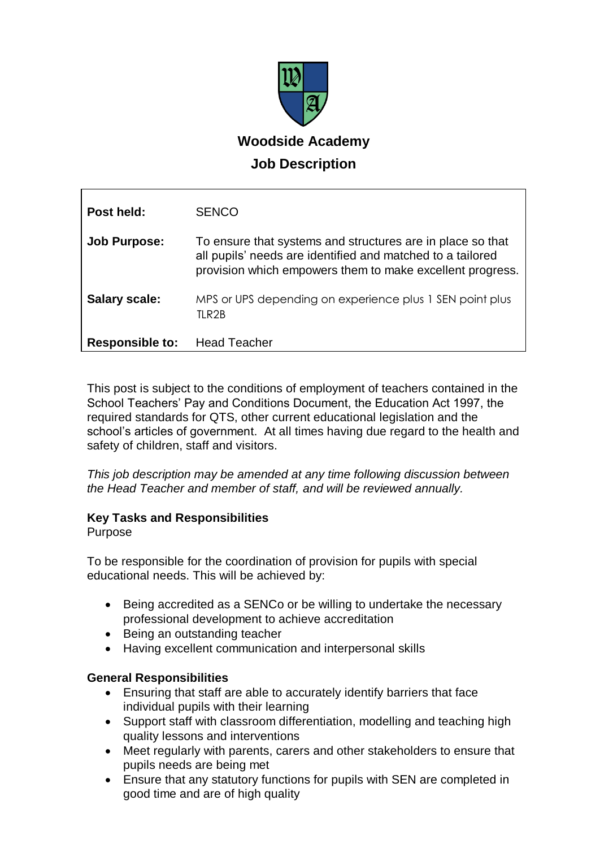

| Post held:             | <b>SENCO</b>                                                                                                                                                                          |
|------------------------|---------------------------------------------------------------------------------------------------------------------------------------------------------------------------------------|
| <b>Job Purpose:</b>    | To ensure that systems and structures are in place so that<br>all pupils' needs are identified and matched to a tailored<br>provision which empowers them to make excellent progress. |
| <b>Salary scale:</b>   | MPS or UPS depending on experience plus 1 SEN point plus<br>TLR2B                                                                                                                     |
| <b>Responsible to:</b> | <b>Head Teacher</b>                                                                                                                                                                   |

This post is subject to the conditions of employment of teachers contained in the School Teachers' Pay and Conditions Document, the Education Act 1997, the required standards for QTS, other current educational legislation and the school's articles of government. At all times having due regard to the health and safety of children, staff and visitors.

*This job description may be amended at any time following discussion between the Head Teacher and member of staff, and will be reviewed annually.*

## **Key Tasks and Responsibilities**

### Purpose

To be responsible for the coordination of provision for pupils with special educational needs. This will be achieved by:

- Being accredited as a SENCo or be willing to undertake the necessary professional development to achieve accreditation
- Being an outstanding teacher
- Having excellent communication and interpersonal skills

## **General Responsibilities**

- Ensuring that staff are able to accurately identify barriers that face individual pupils with their learning
- Support staff with classroom differentiation, modelling and teaching high quality lessons and interventions
- Meet regularly with parents, carers and other stakeholders to ensure that pupils needs are being met
- Ensure that any statutory functions for pupils with SEN are completed in good time and are of high quality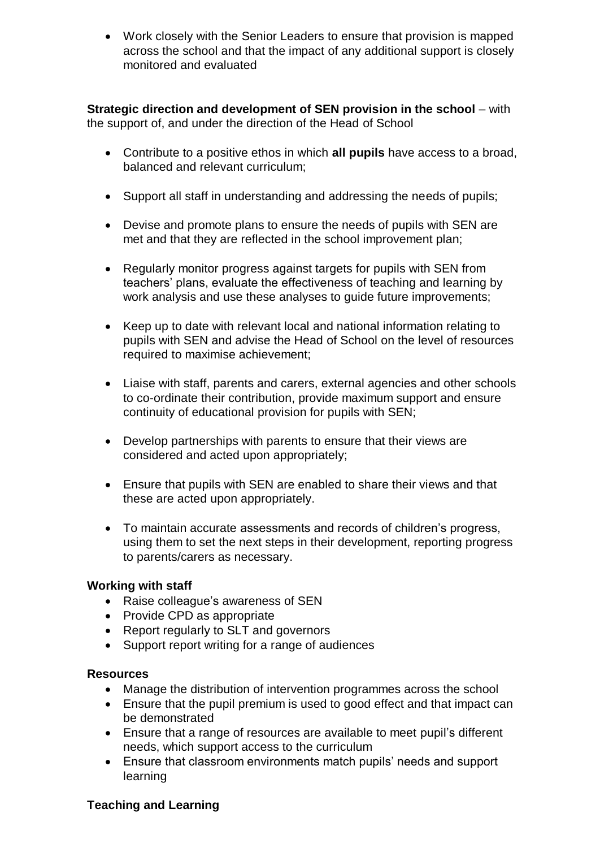Work closely with the Senior Leaders to ensure that provision is mapped across the school and that the impact of any additional support is closely monitored and evaluated

**Strategic direction and development of SEN provision in the school** – with the support of, and under the direction of the Head of School

- Contribute to a positive ethos in which **all pupils** have access to a broad, balanced and relevant curriculum;
- Support all staff in understanding and addressing the needs of pupils;
- Devise and promote plans to ensure the needs of pupils with SEN are met and that they are reflected in the school improvement plan;
- Regularly monitor progress against targets for pupils with SEN from teachers' plans, evaluate the effectiveness of teaching and learning by work analysis and use these analyses to guide future improvements;
- Keep up to date with relevant local and national information relating to pupils with SEN and advise the Head of School on the level of resources required to maximise achievement;
- Liaise with staff, parents and carers, external agencies and other schools to co-ordinate their contribution, provide maximum support and ensure continuity of educational provision for pupils with SEN;
- Develop partnerships with parents to ensure that their views are considered and acted upon appropriately;
- Ensure that pupils with SEN are enabled to share their views and that these are acted upon appropriately.
- To maintain accurate assessments and records of children's progress, using them to set the next steps in their development, reporting progress to parents/carers as necessary.

### **Working with staff**

- Raise colleague's awareness of SEN
- Provide CPD as appropriate
- Report regularly to SLT and governors
- Support report writing for a range of audiences

### **Resources**

- Manage the distribution of intervention programmes across the school
- Ensure that the pupil premium is used to good effect and that impact can be demonstrated
- Ensure that a range of resources are available to meet pupil's different needs, which support access to the curriculum
- Ensure that classroom environments match pupils' needs and support learning

## **Teaching and Learning**